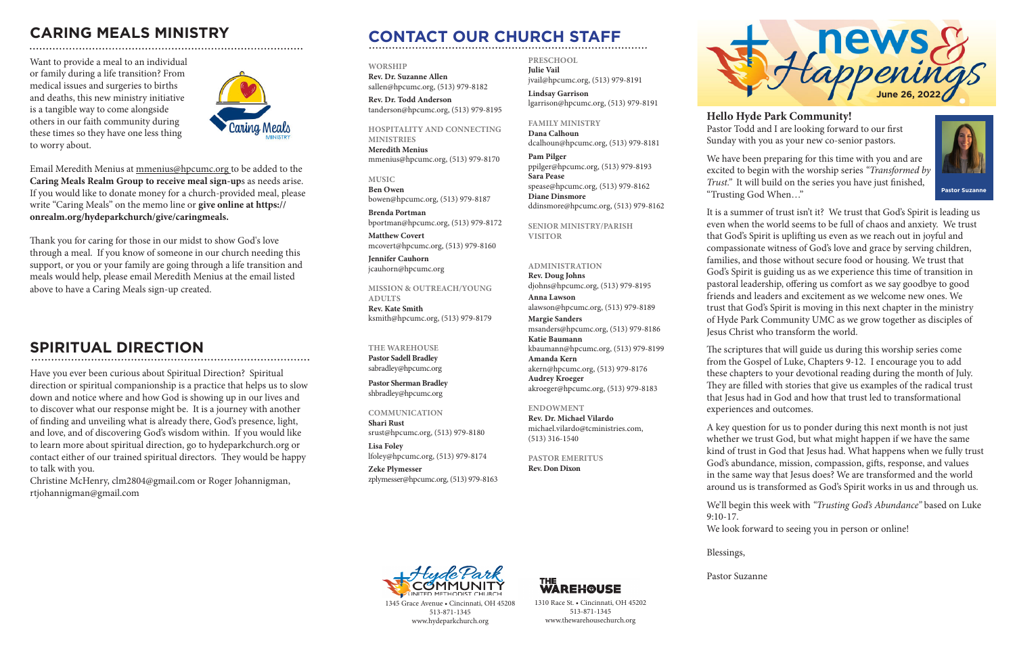We have been preparing for this time with you and are excited to begin with the worship series *"Transformed by Trust."* It will build on the series you have just finished, "Trusting God When…"

It is a summer of trust isn't it? We trust that God's Spirit is leading us even when the world seems to be full of chaos and anxiety. We trust that God's Spirit is uplifting us even as we reach out in joyful and compassionate witness of God's love and grace by serving children, families, and those without secure food or housing. We trust that God's Spirit is guiding us as we experience this time of transition in pastoral leadership, offering us comfort as we say goodbye to good friends and leaders and excitement as we welcome new ones. We trust that God's Spirit is moving in this next chapter in the ministry of Hyde Park Community UMC as we grow together as disciples of Jesus Christ who transform the world.

The scriptures that will guide us during this worship series come from the Gospel of Luke, Chapters 9-12. I encourage you to add these chapters to your devotional reading during the month of July. They are filled with stories that give us examples of the radical trust that Jesus had in God and how that trust led to transformational experiences and outcomes.

A key question for us to ponder during this next month is not just whether we trust God, but what might happen if we have the same kind of trust in God that Jesus had. What happens when we fully trust God's abundance, mission, compassion, gifts, response, and values in the same way that Jesus does? We are transformed and the world around us is transformed as God's Spirit works in us and through us.

We'll begin this week with *"Trusting God's Abundance"* based on Luke

**Hello Hyde Park Community!** Pastor Todd and I are looking forward to our first Sunday with you as your new co-senior pastors.



**Pastor Suzanne**

9:10-17.

We look forward to seeing you in person or online!

Blessings,

Pastor Suzanne



# **CONTACT OUR CHURCH STAFF**

#### **WORSHIP**

**Rev. Dr. Suzanne Allen** sallen@hpcumc.org, (513) 979-8182

**Rev. Dr. Todd Anderson** tanderson@hpcumc.org, (513) 979-8195

### **HOSPITALITY AND CONNECTING**

**MINISTRIES Meredith Menius** mmenius@hpcumc.org, (513) 979-8170

**MUSIC Ben Owen** bowen@hpcumc.org, (513) 979-8187

**Brenda Portman** bportman@hpcumc.org, (513) 979-8172

**Matthew Covert**  mcovert@hpcumc.org, (513) 979-8160

**Jennifer Cauhorn** jcauhorn@hpcumc.org

**MISSION & OUTREACH/YOUNG ADULTS Rev. Kate Smith** ksmith@hpcumc.org, (513) 979-8179

#### **THE WAREHOUSE**

**Pastor Sadell Bradley** sabradley@hpcumc.org

**Pastor Sherman Bradley** shbradley@hpcumc.org

**COMMUNICATION**

**Shari Rust**  srust@hpcumc.org, (513) 979-8180

**Lisa Foley**  lfoley@hpcumc.org, (513) 979-8174

**Zeke Plymesser** zplymesser@hpcumc.org, (513) 979-8163 **PRESCHOOL Julie Vail** jvail@hpcumc.org, (513) 979-8191

**Lindsay Garrison** lgarrison@hpcumc.org, (513) 979-8191

**FAMILY MINISTRY Dana Calhoun** dcalhoun@hpcumc.org, (513) 979-8181

**Pam Pilger** ppilger@hpcumc.org, (513) 979-8193 **Sara Pease** spease@hpcumc.org, (513) 979-8162 **Diane Dinsmore** ddinsmore@hpcumc.org, (513) 979-8162

**SENIOR MINISTRY/PARISH VISITOR**

### **ADMINISTRATION**

**Rev. Doug Johns** djohns@hpcumc.org, (513) 979-8195 **Anna Lawson** alawson@hpcumc.org, (513) 979-8189 **Margie Sanders** msanders@hpcumc.org, (513) 979-8186 **Katie Baumann** kbaumann@hpcumc.org, (513) 979-8199 **Amanda Kern** akern@hpcumc.org, (513) 979-8176 **Audrey Kroeger** akroeger@hpcumc.org, (513) 979-8183

#### **ENDOWMENT**

**Rev. Dr. Michael Vilardo** michael.vilardo@tcministries.com, (513) 316-1540

**PASTOR EMERITUS Rev. Don Dixon**



1345 Grace Avenue • Cincinnati, OH 45208 513-871-1345 www.hydeparkchurch.org



1310 Race St. • Cincinnati, OH 45202 513-871-1345 www.thewarehousechurch.org

## **CARING MEALS MINISTRY**

Want to provide a meal to an individual or family during a life transition? From medical issues and surgeries to births and deaths, this new ministry initiative is a tangible way to come alongside others in our faith community during these times so they have one less thing to worry about.



Email Meredith Menius at mmenius@hpcumc.org to be added to the **Caring Meals Realm Group to receive meal sign-up**s as needs arise. If you would like to donate money for a church-provided meal, please write "Caring Meals" on the memo line or **give online at https:// onrealm.org/hydeparkchurch/give/caringmeals.**

Thank you for caring for those in our midst to show God's love through a meal. If you know of someone in our church needing this support, or you or your family are going through a life transition and meals would help, please email Meredith Menius at the email listed above to have a Caring Meals sign-up created.

## **SPIRITUAL DIRECTION**

Have you ever been curious about Spiritual Direction? Spiritual direction or spiritual companionship is a practice that helps us to slow down and notice where and how God is showing up in our lives and to discover what our response might be. It is a journey with another of finding and unveiling what is already there, God's presence, light, and love, and of discovering God's wisdom within. If you would like to learn more about spiritual direction, go to hydeparkchurch.org or contact either of our trained spiritual directors. They would be happy to talk with you.

Christine McHenry, clm2804@gmail.com or Roger Johannigman, rtjohannigman@gmail.com